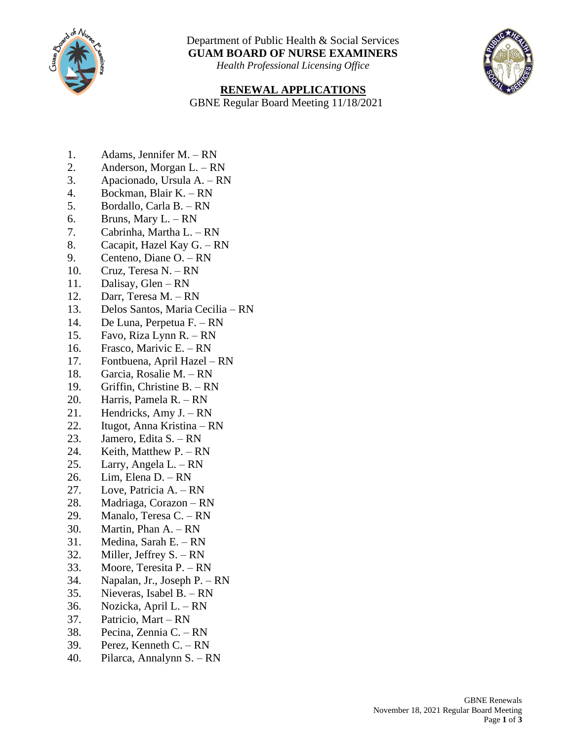

Department of Public Health & Social Services **GUAM BOARD OF NURSE EXAMINERS**

*Health Professional Licensing Office*

## **RENEWAL APPLICATIONS**

GBNE Regular Board Meeting 11/18/2021

- 1. Adams, Jennifer M. RN
- 2. Anderson, Morgan L. RN
- 3. Apacionado, Ursula A. RN
- 4. Bockman, Blair K. RN
- 5. Bordallo, Carla B. RN
- 6. Bruns, Mary  $L. RN$
- 7. Cabrinha, Martha L. RN
- 8. Cacapit, Hazel Kay G. RN
- 9. Centeno, Diane O. RN
- 10. Cruz, Teresa N. RN
- 11. Dalisay, Glen RN
- 12. Darr, Teresa M. RN
- 13. Delos Santos, Maria Cecilia RN
- 14. De Luna, Perpetua F. RN
- 15. Favo, Riza Lynn R. RN
- 16. Frasco, Marivic E. RN
- 17. Fontbuena, April Hazel RN
- 18. Garcia, Rosalie M. RN
- 19. Griffin, Christine B. RN
- 20. Harris, Pamela R. RN
- 21. Hendricks, Amy J. RN
- 22. Itugot, Anna Kristina RN
- 23. Jamero, Edita S. RN
- 24. Keith, Matthew P. RN
- 25. Larry, Angela L. RN
- 26. Lim, Elena D. RN
- 27. Love, Patricia A. RN
- 28. Madriaga, Corazon RN
- 29. Manalo, Teresa C. RN
- 30. Martin, Phan A. RN
- 31. Medina, Sarah E. RN
- 32. Miller, Jeffrey S. RN
- 33. Moore, Teresita P. RN
- 34. Napalan, Jr., Joseph P. RN
- 35. Nieveras, Isabel B. RN
- 36. Nozicka, April L. RN
- 37. Patricio, Mart RN
- 38. Pecina, Zennia C. RN
- 39. Perez, Kenneth C. RN
- 40. Pilarca, Annalynn S. RN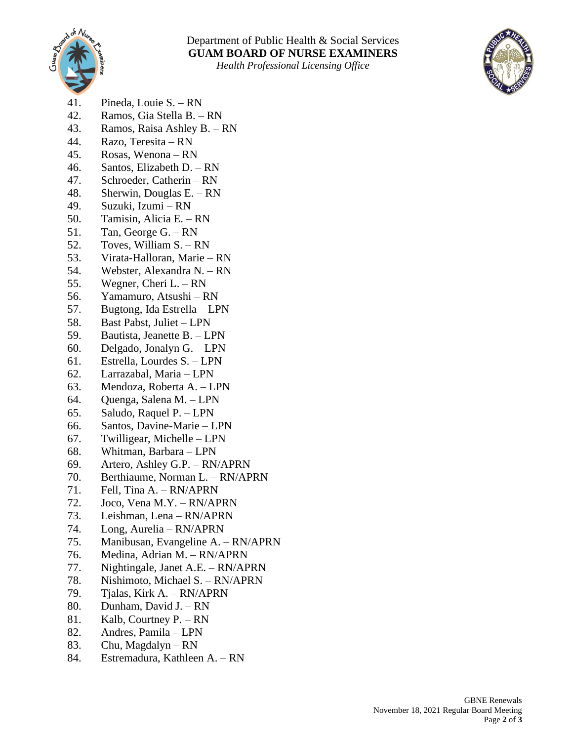

*Health Professional Licensing Office*



- 41. Pineda, Louie S. RN
- 42. Ramos, Gia Stella B. RN
- 43. Ramos, Raisa Ashley B. RN
- 44. Razo, Teresita RN
- 45. Rosas, Wenona RN
- 46. Santos, Elizabeth D. RN
- 47. Schroeder, Catherin RN
- 48. Sherwin, Douglas E. RN
- 49. Suzuki, Izumi RN
- 50. Tamisin, Alicia E. RN
- 51. Tan, George G. RN
- 52. Toves, William S. RN
- 53. Virata-Halloran, Marie RN
- 54. Webster, Alexandra N. RN
- 55. Wegner, Cheri L. RN
- 56. Yamamuro, Atsushi RN
- 57. Bugtong, Ida Estrella LPN
- 58. Bast Pabst, Juliet LPN
- 59. Bautista, Jeanette B. LPN
- 60. Delgado, Jonalyn G. LPN
- 61. Estrella, Lourdes S. LPN
- 62. Larrazabal, Maria LPN
- 63. Mendoza, Roberta A. LPN
- 64. Quenga, Salena M. LPN
- 65. Saludo, Raquel P. LPN
- 66. Santos, Davine-Marie LPN
- 67. Twilligear, Michelle LPN
- 68. Whitman, Barbara LPN
- 69. Artero, Ashley G.P. RN/APRN
- 70. Berthiaume, Norman L. RN/APRN
- 71. Fell, Tina A. RN/APRN
- 72. Joco, Vena M.Y. RN/APRN
- 73. Leishman, Lena RN/APRN
- 74. Long, Aurelia RN/APRN
- 75. Manibusan, Evangeline A. RN/APRN
- 76. Medina, Adrian M. RN/APRN
- 77. Nightingale, Janet A.E. RN/APRN
- 78. Nishimoto, Michael S. RN/APRN
- 79. Tjalas, Kirk A. RN/APRN
- 80. Dunham, David J. RN
- 81. Kalb, Courtney P. RN
- 82. Andres, Pamila LPN
- 83. Chu, Magdalyn RN
- 84. Estremadura, Kathleen A. RN